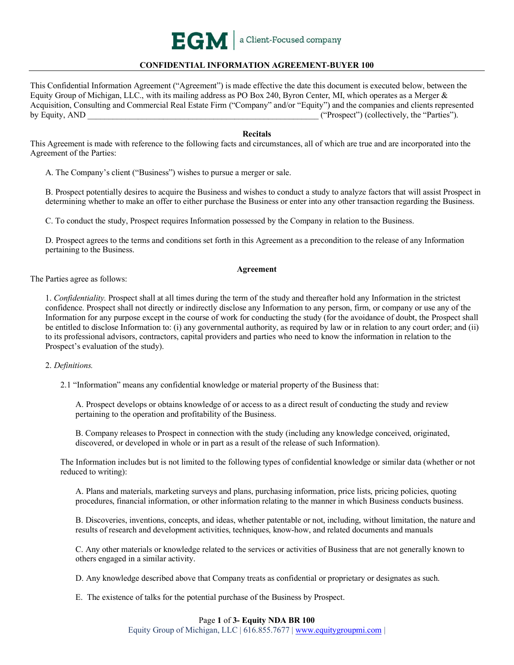

# **CONFIDENTIAL INFORMATION AGREEMENT-BUYER 100**

This Confidential Information Agreement ("Agreement") is made effective the date this document is executed below, between the Equity Group of Michigan, LLC., with its mailing address as PO Box 240, Byron Center, MI, which operates as a Merger & Acquisition, Consulting and Commercial Real Estate Firm ("Company" and/or "Equity") and the companies and clients represented by Equity, AND  $($ "Prospect") (collectively, the "Parties").

### **Recitals**

This Agreement is made with reference to the following facts and circumstances, all of which are true and are incorporated into the Agreement of the Parties:

A. The Company's client ("Business") wishes to pursue a merger or sale.

B. Prospect potentially desires to acquire the Business and wishes to conduct a study to analyze factors that will assist Prospect in determining whether to make an offer to either purchase the Business or enter into any other transaction regarding the Business.

C. To conduct the study, Prospect requires Information possessed by the Company in relation to the Business.

D. Prospect agrees to the terms and conditions set forth in this Agreement as a precondition to the release of any Information pertaining to the Business.

#### **Agreement**

The Parties agree as follows:

1. *Confidentiality.* Prospect shall at all times during the term of the study and thereafter hold any Information in the strictest confidence. Prospect shall not directly or indirectly disclose any Information to any person, firm, or company or use any of the Information for any purpose except in the course of work for conducting the study (for the avoidance of doubt, the Prospect shall be entitled to disclose Information to: (i) any governmental authority, as required by law or in relation to any court order; and (ii) to its professional advisors, contractors, capital providers and parties who need to know the information in relation to the Prospect's evaluation of the study).

2. *Definitions.*

2.1 "Information" means any confidential knowledge or material property of the Business that:

A. Prospect develops or obtains knowledge of or access to as a direct result of conducting the study and review pertaining to the operation and profitability of the Business.

B. Company releases to Prospect in connection with the study (including any knowledge conceived, originated, discovered, or developed in whole or in part as a result of the release of such Information).

The Information includes but is not limited to the following types of confidential knowledge or similar data (whether or not reduced to writing):

A. Plans and materials, marketing surveys and plans, purchasing information, price lists, pricing policies, quoting procedures, financial information, or other information relating to the manner in which Business conducts business.

B. Discoveries, inventions, concepts, and ideas, whether patentable or not, including, without limitation, the nature and results of research and development activities, techniques, know-how, and related documents and manuals

C. Any other materials or knowledge related to the services or activities of Business that are not generally known to others engaged in a similar activity.

D. Any knowledge described above that Company treats as confidential or proprietary or designates as such.

E. The existence of talks for the potential purchase of the Business by Prospect.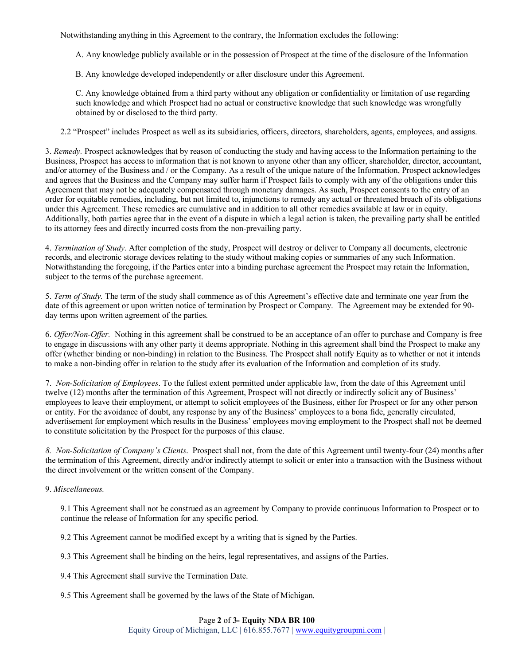Notwithstanding anything in this Agreement to the contrary, the Information excludes the following:

A. Any knowledge publicly available or in the possession of Prospect at the time of the disclosure of the Information

B. Any knowledge developed independently or after disclosure under this Agreement.

C. Any knowledge obtained from a third party without any obligation or confidentiality or limitation of use regarding such knowledge and which Prospect had no actual or constructive knowledge that such knowledge was wrongfully obtained by or disclosed to the third party.

2.2 "Prospect" includes Prospect as well as its subsidiaries, officers, directors, shareholders, agents, employees, and assigns.

3. *Remedy.* Prospect acknowledges that by reason of conducting the study and having access to the Information pertaining to the Business, Prospect has access to information that is not known to anyone other than any officer, shareholder, director, accountant, and/or attorney of the Business and / or the Company. As a result of the unique nature of the Information, Prospect acknowledges and agrees that the Business and the Company may suffer harm if Prospect fails to comply with any of the obligations under this Agreement that may not be adequately compensated through monetary damages. As such, Prospect consents to the entry of an order for equitable remedies, including, but not limited to, injunctions to remedy any actual or threatened breach of its obligations under this Agreement. These remedies are cumulative and in addition to all other remedies available at law or in equity. Additionally, both parties agree that in the event of a dispute in which a legal action is taken, the prevailing party shall be entitled to its attorney fees and directly incurred costs from the non-prevailing party.

4. *Termination of Study.* After completion of the study, Prospect will destroy or deliver to Company all documents, electronic records, and electronic storage devices relating to the study without making copies or summaries of any such Information. Notwithstanding the foregoing, if the Parties enter into a binding purchase agreement the Prospect may retain the Information, subject to the terms of the purchase agreement.

5. *Term of Study.* The term of the study shall commence as of this Agreement's effective date and terminate one year from the date of this agreement or upon written notice of termination by Prospect or Company. The Agreement may be extended for 90 day terms upon written agreement of the parties.

6. *Offer/Non-Offer.* Nothing in this agreement shall be construed to be an acceptance of an offer to purchase and Company is free to engage in discussions with any other party it deems appropriate. Nothing in this agreement shall bind the Prospect to make any offer (whether binding or non-binding) in relation to the Business. The Prospect shall notify Equity as to whether or not it intends to make a non-binding offer in relation to the study after its evaluation of the Information and completion of its study.

7. *Non-Solicitation of Employees*. To the fullest extent permitted under applicable law, from the date of this Agreement until twelve (12) months after the termination of this Agreement, Prospect will not directly or indirectly solicit any of Business' employees to leave their employment, or attempt to solicit employees of the Business, either for Prospect or for any other person or entity. For the avoidance of doubt, any response by any of the Business' employees to a bona fide, generally circulated, advertisement for employment which results in the Business' employees moving employment to the Prospect shall not be deemed to constitute solicitation by the Prospect for the purposes of this clause.

*8. Non-Solicitation of Company's Clients*. Prospect shall not, from the date of this Agreement until twenty-four (24) months after the termination of this Agreement, directly and/or indirectly attempt to solicit or enter into a transaction with the Business without the direct involvement or the written consent of the Company.

### 9. *Miscellaneous.*

9.1 This Agreement shall not be construed as an agreement by Company to provide continuous Information to Prospect or to continue the release of Information for any specific period.

9.2 This Agreement cannot be modified except by a writing that is signed by the Parties.

9.3 This Agreement shall be binding on the heirs, legal representatives, and assigns of the Parties.

9.4 This Agreement shall survive the Termination Date.

9.5 This Agreement shall be governed by the laws of the State of Michigan.